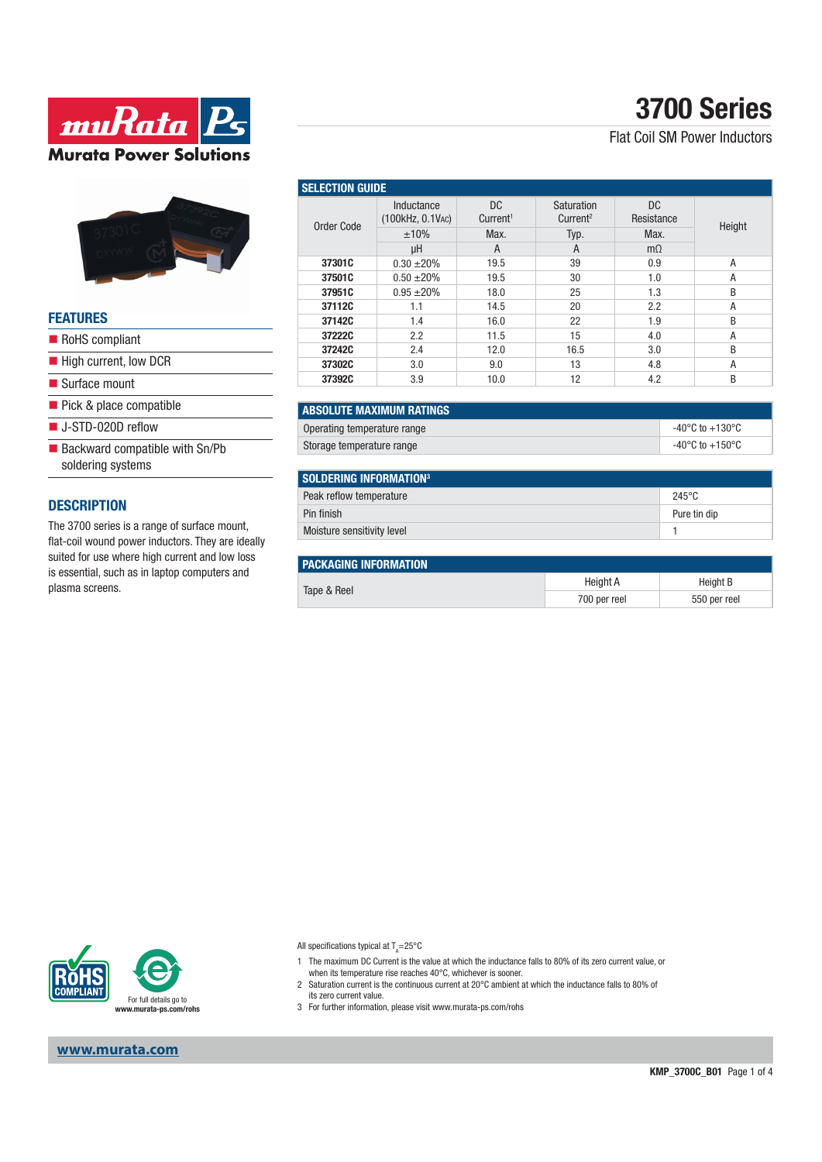

### **FEATURES**

- RoHS compliant
- High current, low DCR
- Surface mount
- Pick & place compatible
- J-STD-020D reflow
- $\blacksquare$  Backward compatible with Sn/Pb soldering systems

### **DESCRIPTION**

The 3700 series is a range of surface mount, flat-coil wound power inductors. They are ideally suited for use where high current and low loss is essential, such as in laptop computers and plasma screens.

# **3700 Series**

Flat Coil SM Power Inductors

| <b>SELECTION GUIDE</b> |                                |                             |                                    |                   |        |  |  |
|------------------------|--------------------------------|-----------------------------|------------------------------------|-------------------|--------|--|--|
| Order Code             | Inductance<br>(100kHz, 0.1VAC) | DC.<br>Current <sup>1</sup> | Saturation<br>Current <sup>2</sup> | DC.<br>Resistance | Height |  |  |
|                        | ±10%                           | Max.                        | Typ.                               | Max.              |        |  |  |
|                        | μH                             | A                           | A                                  | $m\Omega$         |        |  |  |
| 37301C                 | $0.30 \pm 20\%$                | 19.5                        | 39                                 | 0.9               | A      |  |  |
| 37501C                 | $0.50 \pm 20\%$                | 19.5                        | 30                                 | 1.0               | A      |  |  |
| 37951C                 | $0.95 + 20%$                   | 18.0                        | 25                                 | 1.3               | B      |  |  |
| 37112C                 | 1.1                            | 14.5                        | 20                                 | 2.2               | A      |  |  |
| 37142C                 | 1.4                            | 16.0                        | 22                                 | 1.9               | B      |  |  |
| 37222C                 | 2.2                            | 11.5                        | 15                                 | 4.0               | A      |  |  |
| 37242C                 | 2.4                            | 12.0                        | 16.5                               | 3.0               | B      |  |  |
| 37302C                 | 3.0                            | 9.0                         | 13                                 | 4.8               | A      |  |  |
| 37392C                 | 3.9                            | 10.0                        | 12                                 | 4.2               | B      |  |  |

| I ABSOLUTE MAXIMUM RATINGS  |                                     |
|-----------------------------|-------------------------------------|
| Operating temperature range | $-40^{\circ}$ C to $+130^{\circ}$ C |
| Storage temperature range   | $-40^{\circ}$ C to $+150^{\circ}$ C |

| SOLDERING INFORMATION <sup>3</sup> |                 |
|------------------------------------|-----------------|
| Peak reflow temperature            | $245^{\circ}$ C |
| Pin finish                         | Pure tin dip    |
| Moisture sensitivity level         |                 |

| <b>PACKAGING INFORMATION</b> |              |              |
|------------------------------|--------------|--------------|
|                              | Height A     | Height B     |
| Tape & Reel                  | 700 per reel | 550 per reel |



**www.murata.com**

All specifications typical at T<sub>A</sub>=25°C

- 1 The maximum DC Current is the value at which the inductance falls to 80% of its zero current value, or when its temperature rise reaches 40°C, whichever is sooner.
- 2 Saturation current is the continuous current at 20°C ambient at which the inductance falls to 80% of its zero current value.
- 3 For further information, please visit www.murata-ps.com/rohs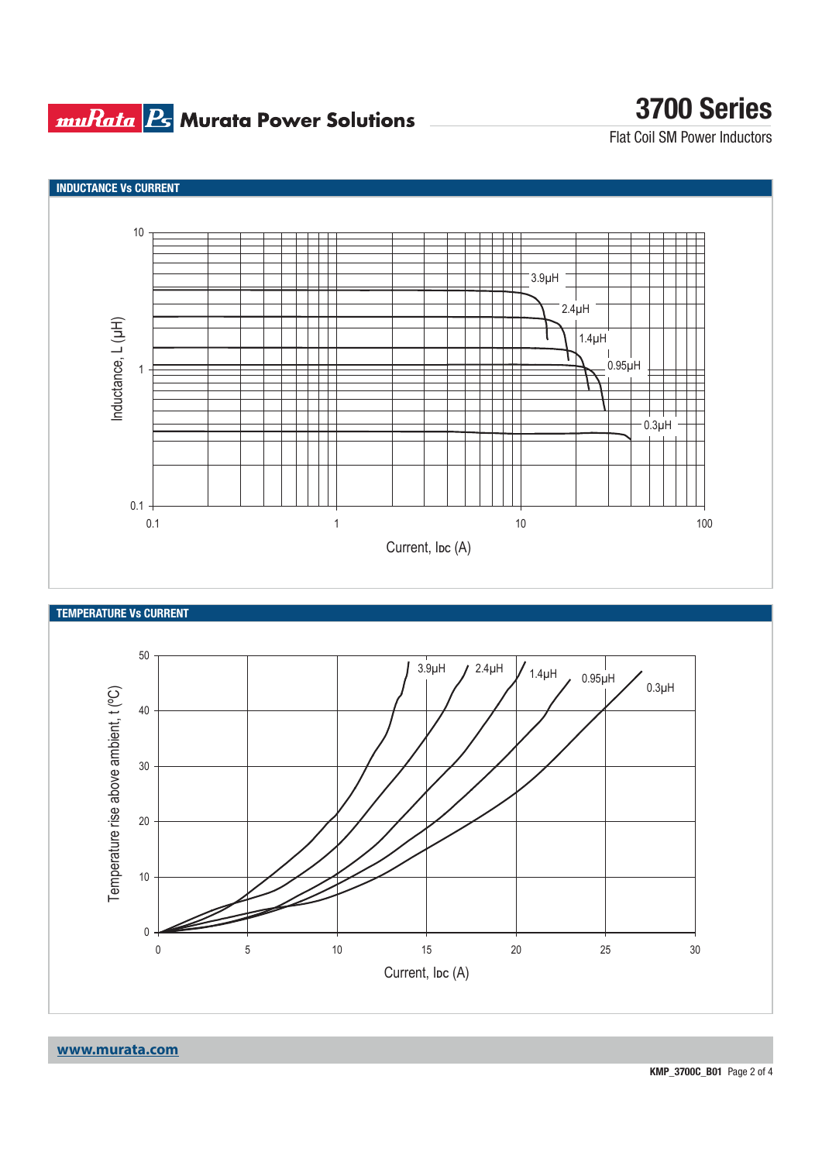## **muRata B** Murata Power Solutions

# **3700 Series**

Flat Coil SM Power Inductors







**www.murata.com**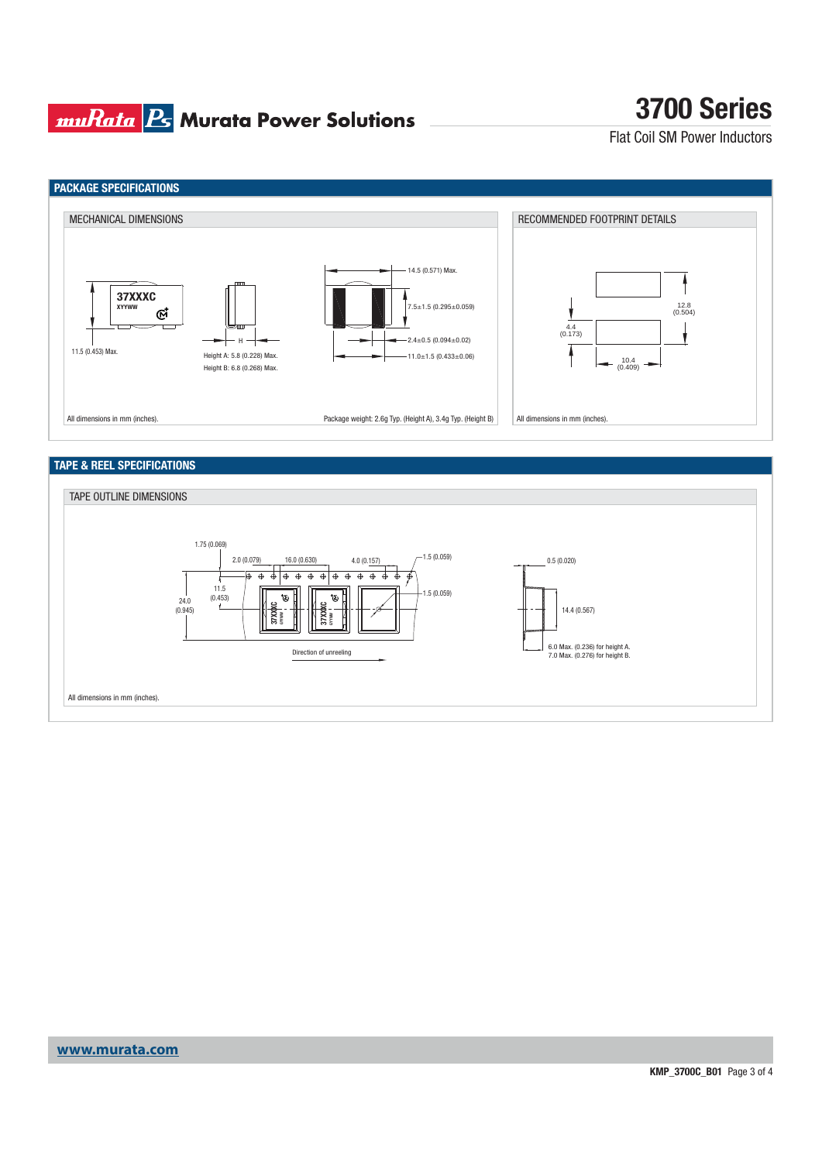### **muRata B** Murata Power Solutions

# **3700 Series**

Flat Coil SM Power Inductors



### **TAPE & REEL SPECIFICATIONS**